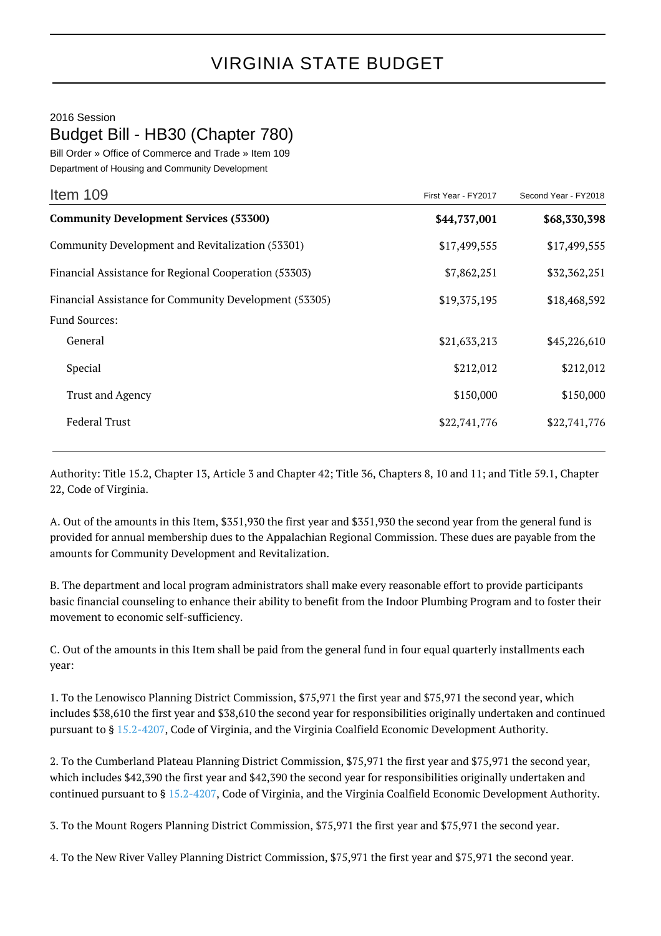## 2016 Session Budget Bill - HB30 (Chapter 780)

Bill Order » Office of Commerce and Trade » Item 109

Department of Housing and Community Development

| Item 109                                               | First Year - FY2017 | Second Year - FY2018 |
|--------------------------------------------------------|---------------------|----------------------|
| <b>Community Development Services (53300)</b>          | \$44,737,001        | \$68,330,398         |
| Community Development and Revitalization (53301)       | \$17,499,555        | \$17,499,555         |
| Financial Assistance for Regional Cooperation (53303)  | \$7,862,251         | \$32,362,251         |
| Financial Assistance for Community Development (53305) | \$19,375,195        | \$18,468,592         |
| <b>Fund Sources:</b>                                   |                     |                      |
| General                                                | \$21,633,213        | \$45,226,610         |
| Special                                                | \$212,012           | \$212,012            |
| <b>Trust and Agency</b>                                | \$150,000           | \$150,000            |
| <b>Federal Trust</b>                                   | \$22,741,776        | \$22,741,776         |

Authority: Title 15.2, Chapter 13, Article 3 and Chapter 42; Title 36, Chapters 8, 10 and 11; and Title 59.1, Chapter 22, Code of Virginia.

A. Out of the amounts in this Item, \$351,930 the first year and \$351,930 the second year from the general fund is provided for annual membership dues to the Appalachian Regional Commission. These dues are payable from the amounts for Community Development and Revitalization.

B. The department and local program administrators shall make every reasonable effort to provide participants basic financial counseling to enhance their ability to benefit from the Indoor Plumbing Program and to foster their movement to economic self-sufficiency.

C. Out of the amounts in this Item shall be paid from the general fund in four equal quarterly installments each year:

1. To the Lenowisco Planning District Commission, \$75,971 the first year and \$75,971 the second year, which includes \$38,610 the first year and \$38,610 the second year for responsibilities originally undertaken and continued pursuant to § [15.2-4207,](http://law.lis.virginia.gov/vacode/15.2-4207/) Code of Virginia, and the Virginia Coalfield Economic Development Authority.

2. To the Cumberland Plateau Planning District Commission, \$75,971 the first year and \$75,971 the second year, which includes \$42,390 the first year and \$42,390 the second year for responsibilities originally undertaken and continued pursuant to § [15.2-4207,](http://law.lis.virginia.gov/vacode/15.2-4207/) Code of Virginia, and the Virginia Coalfield Economic Development Authority.

3. To the Mount Rogers Planning District Commission, \$75,971 the first year and \$75,971 the second year.

4. To the New River Valley Planning District Commission, \$75,971 the first year and \$75,971 the second year.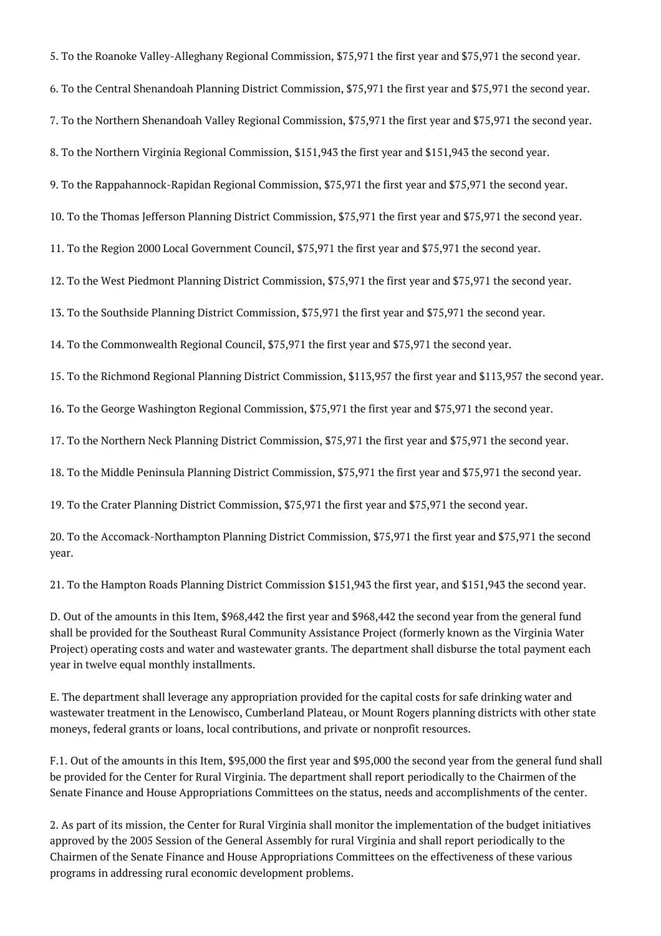5. To the Roanoke Valley-Alleghany Regional Commission, \$75,971 the first year and \$75,971 the second year.

6. To the Central Shenandoah Planning District Commission, \$75,971 the first year and \$75,971 the second year.

7. To the Northern Shenandoah Valley Regional Commission, \$75,971 the first year and \$75,971 the second year.

8. To the Northern Virginia Regional Commission, \$151,943 the first year and \$151,943 the second year.

9. To the Rappahannock-Rapidan Regional Commission, \$75,971 the first year and \$75,971 the second year.

10. To the Thomas Jefferson Planning District Commission, \$75,971 the first year and \$75,971 the second year.

11. To the Region 2000 Local Government Council, \$75,971 the first year and \$75,971 the second year.

12. To the West Piedmont Planning District Commission, \$75,971 the first year and \$75,971 the second year.

13. To the Southside Planning District Commission, \$75,971 the first year and \$75,971 the second year.

14. To the Commonwealth Regional Council, \$75,971 the first year and \$75,971 the second year.

15. To the Richmond Regional Planning District Commission, \$113,957 the first year and \$113,957 the second year.

16. To the George Washington Regional Commission, \$75,971 the first year and \$75,971 the second year.

17. To the Northern Neck Planning District Commission, \$75,971 the first year and \$75,971 the second year.

18. To the Middle Peninsula Planning District Commission, \$75,971 the first year and \$75,971 the second year.

19. To the Crater Planning District Commission, \$75,971 the first year and \$75,971 the second year.

20. To the Accomack-Northampton Planning District Commission, \$75,971 the first year and \$75,971 the second year.

21. To the Hampton Roads Planning District Commission \$151,943 the first year, and \$151,943 the second year.

D. Out of the amounts in this Item, \$968,442 the first year and \$968,442 the second year from the general fund shall be provided for the Southeast Rural Community Assistance Project (formerly known as the Virginia Water Project) operating costs and water and wastewater grants. The department shall disburse the total payment each year in twelve equal monthly installments.

E. The department shall leverage any appropriation provided for the capital costs for safe drinking water and wastewater treatment in the Lenowisco, Cumberland Plateau, or Mount Rogers planning districts with other state moneys, federal grants or loans, local contributions, and private or nonprofit resources.

F.1. Out of the amounts in this Item, \$95,000 the first year and \$95,000 the second year from the general fund shall be provided for the Center for Rural Virginia. The department shall report periodically to the Chairmen of the Senate Finance and House Appropriations Committees on the status, needs and accomplishments of the center.

2. As part of its mission, the Center for Rural Virginia shall monitor the implementation of the budget initiatives approved by the 2005 Session of the General Assembly for rural Virginia and shall report periodically to the Chairmen of the Senate Finance and House Appropriations Committees on the effectiveness of these various programs in addressing rural economic development problems.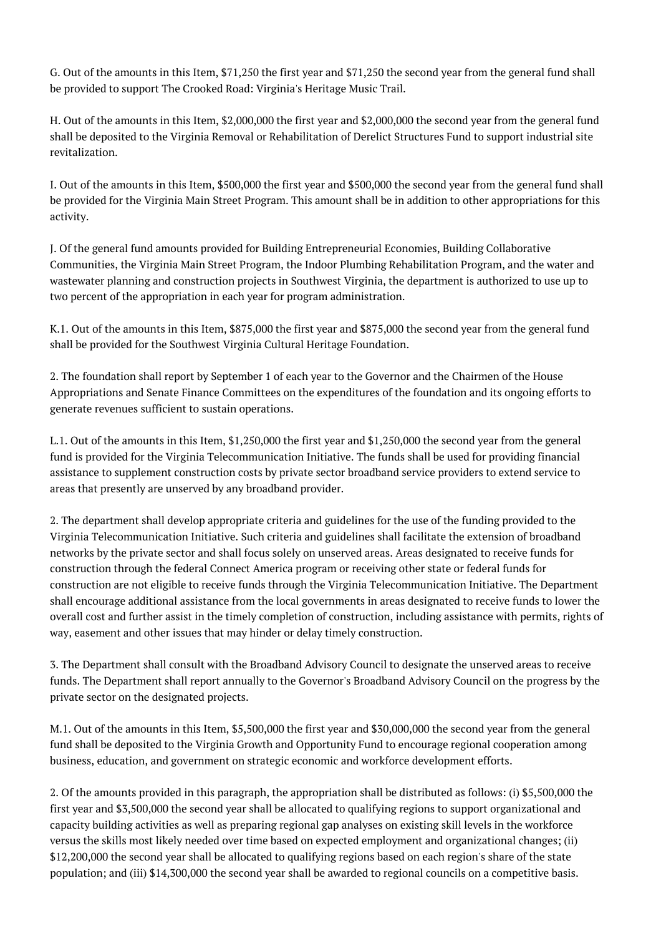G. Out of the amounts in this Item, \$71,250 the first year and \$71,250 the second year from the general fund shall be provided to support The Crooked Road: Virginia's Heritage Music Trail.

H. Out of the amounts in this Item, \$2,000,000 the first year and \$2,000,000 the second year from the general fund shall be deposited to the Virginia Removal or Rehabilitation of Derelict Structures Fund to support industrial site revitalization.

I. Out of the amounts in this Item, \$500,000 the first year and \$500,000 the second year from the general fund shall be provided for the Virginia Main Street Program. This amount shall be in addition to other appropriations for this activity.

J. Of the general fund amounts provided for Building Entrepreneurial Economies, Building Collaborative Communities, the Virginia Main Street Program, the Indoor Plumbing Rehabilitation Program, and the water and wastewater planning and construction projects in Southwest Virginia, the department is authorized to use up to two percent of the appropriation in each year for program administration.

K.1. Out of the amounts in this Item, \$875,000 the first year and \$875,000 the second year from the general fund shall be provided for the Southwest Virginia Cultural Heritage Foundation.

2. The foundation shall report by September 1 of each year to the Governor and the Chairmen of the House Appropriations and Senate Finance Committees on the expenditures of the foundation and its ongoing efforts to generate revenues sufficient to sustain operations.

L.1. Out of the amounts in this Item, \$1,250,000 the first year and \$1,250,000 the second year from the general fund is provided for the Virginia Telecommunication Initiative. The funds shall be used for providing financial assistance to supplement construction costs by private sector broadband service providers to extend service to areas that presently are unserved by any broadband provider.

2. The department shall develop appropriate criteria and guidelines for the use of the funding provided to the Virginia Telecommunication Initiative. Such criteria and guidelines shall facilitate the extension of broadband networks by the private sector and shall focus solely on unserved areas. Areas designated to receive funds for construction through the federal Connect America program or receiving other state or federal funds for construction are not eligible to receive funds through the Virginia Telecommunication Initiative. The Department shall encourage additional assistance from the local governments in areas designated to receive funds to lower the overall cost and further assist in the timely completion of construction, including assistance with permits, rights of way, easement and other issues that may hinder or delay timely construction.

3. The Department shall consult with the Broadband Advisory Council to designate the unserved areas to receive funds. The Department shall report annually to the Governor's Broadband Advisory Council on the progress by the private sector on the designated projects.

M.1. Out of the amounts in this Item, \$5,500,000 the first year and \$30,000,000 the second year from the general fund shall be deposited to the Virginia Growth and Opportunity Fund to encourage regional cooperation among business, education, and government on strategic economic and workforce development efforts.

2. Of the amounts provided in this paragraph, the appropriation shall be distributed as follows: (i) \$5,500,000 the first year and \$3,500,000 the second year shall be allocated to qualifying regions to support organizational and capacity building activities as well as preparing regional gap analyses on existing skill levels in the workforce versus the skills most likely needed over time based on expected employment and organizational changes; (ii) \$12,200,000 the second year shall be allocated to qualifying regions based on each region's share of the state population; and (iii) \$14,300,000 the second year shall be awarded to regional councils on a competitive basis.